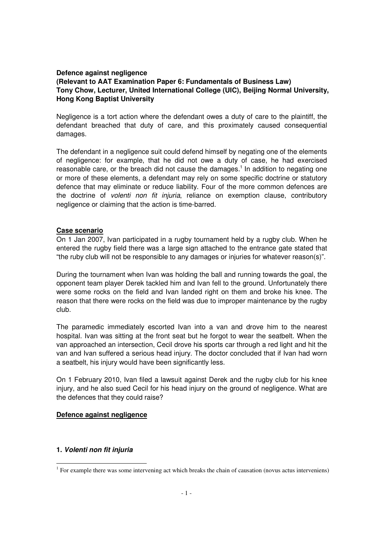#### **Defence against negligence**

# **(Relevant to AAT Examination Paper 6: Fundamentals of Business Law) Tony Chow, Lecturer, United International College (UIC), Beijing Normal University, Hong Kong Baptist University**

Negligence is a tort action where the defendant owes a duty of care to the plaintiff, the defendant breached that duty of care, and this proximately caused consequential damages.

The defendant in a negligence suit could defend himself by negating one of the elements of negligence: for example, that he did not owe a duty of case, he had exercised reasonable care, or the breach did not cause the damages.<sup>1</sup> In addition to negating one or more of these elements, a defendant may rely on some specific doctrine or statutory defence that may eliminate or reduce liability. Four of the more common defences are the doctrine of volenti non fit injuria, reliance on exemption clause, contributory negligence or claiming that the action is time-barred.

### **Case scenario**

On 1 Jan 2007, Ivan participated in a rugby tournament held by a rugby club. When he entered the rugby field there was a large sign attached to the entrance gate stated that "the ruby club will not be responsible to any damages or injuries for whatever reason(s)".

During the tournament when Ivan was holding the ball and running towards the goal, the opponent team player Derek tackled him and Ivan fell to the ground. Unfortunately there were some rocks on the field and Ivan landed right on them and broke his knee. The reason that there were rocks on the field was due to improper maintenance by the rugby club.

The paramedic immediately escorted Ivan into a van and drove him to the nearest hospital. Ivan was sitting at the front seat but he forgot to wear the seatbelt. When the van approached an intersection, Cecil drove his sports car through a red light and hit the van and Ivan suffered a serious head injury. The doctor concluded that if Ivan had worn a seatbelt, his injury would have been significantly less.

On 1 February 2010, Ivan filed a lawsuit against Derek and the rugby club for his knee injury, and he also sued Cecil for his head injury on the ground of negligence. What are the defences that they could raise?

## **Defence against negligence**

## **1. Volenti non fit injuria**

<sup>&</sup>lt;sup>1</sup> For example there was some intervening act which breaks the chain of causation (novus actus interveniens)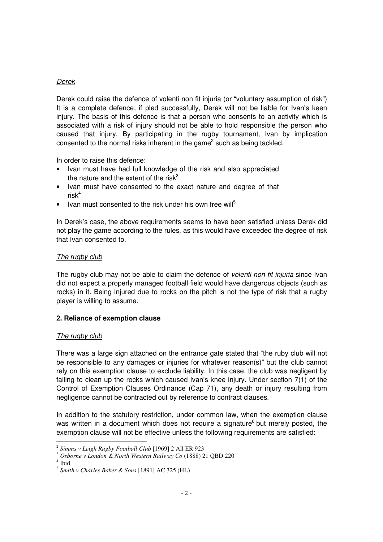# Derek

Derek could raise the defence of volenti non fit injuria (or "voluntary assumption of risk") It is a complete defence; if pled successfully, Derek will not be liable for Ivan's keen injury. The basis of this defence is that a person who consents to an activity which is associated with a risk of injury should not be able to hold responsible the person who caused that injury. By participating in the rugby tournament, Ivan by implication consented to the normal risks inherent in the game<sup>2</sup> such as being tackled.

In order to raise this defence:

- Ivan must have had full knowledge of the risk and also appreciated the nature and the extent of the risk $3$
- Ivan must have consented to the exact nature and degree of that  $risk^4$
- Ivan must consented to the risk under his own free will<sup>5</sup>

In Derek's case, the above requirements seems to have been satisfied unless Derek did not play the game according to the rules, as this would have exceeded the degree of risk that Ivan consented to.

### The rugby club

The rugby club may not be able to claim the defence of *volenti non fit injuria* since Ivan did not expect a properly managed football field would have dangerous objects (such as rocks) in it. Being injured due to rocks on the pitch is not the type of risk that a rugby player is willing to assume.

## **2. Reliance of exemption clause**

## The rugby club

There was a large sign attached on the entrance gate stated that "the ruby club will not be responsible to any damages or injuries for whatever reason(s)" but the club cannot rely on this exemption clause to exclude liability. In this case, the club was negligent by failing to clean up the rocks which caused Ivan's knee injury. Under section 7(1) of the Control of Exemption Clauses Ordinance (Cap 71), any death or injury resulting from negligence cannot be contracted out by reference to contract clauses.

In addition to the statutory restriction, under common law, when the exemption clause was written in a document which does not require a signature<sup>6</sup> but merely posted, the exemption clause will not be effective unless the following requirements are satisfied:

 2 *Simms v Leigh Rugby Football Club* [1969] 2 All ER 923

<sup>3</sup> *Osborne v London & North Western Railway Co* (1888) 21 QBD 220

<sup>4</sup> Ibid

<sup>5</sup> *Smith v Charles Baker & Sons* [1891] AC 325 (HL)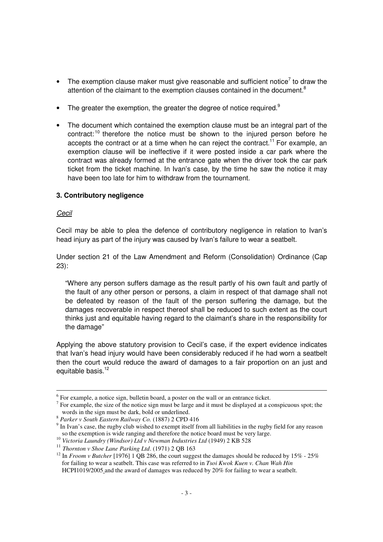- The exemption clause maker must give reasonable and sufficient notice<sup>7</sup> to draw the attention of the claimant to the exemption clauses contained in the document.<sup>8</sup>
- The greater the exemption, the greater the degree of notice required. $9$
- The document which contained the exemption clause must be an integral part of the contract:<sup>10</sup> therefore the notice must be shown to the injured person before he accepts the contract or at a time when he can reject the contract.<sup>11</sup> For example, an exemption clause will be ineffective if it were posted inside a car park where the contract was already formed at the entrance gate when the driver took the car park ticket from the ticket machine. In Ivan's case, by the time he saw the notice it may have been too late for him to withdraw from the tournament.

## **3. Contributory negligence**

## Cecil

l

Cecil may be able to plea the defence of contributory negligence in relation to Ivan's head injury as part of the injury was caused by Ivan's failure to wear a seatbelt.

Under section 21 of the Law Amendment and Reform (Consolidation) Ordinance (Cap 23):

"Where any person suffers damage as the result partly of his own fault and partly of the fault of any other person or persons, a claim in respect of that damage shall not be defeated by reason of the fault of the person suffering the damage, but the damages recoverable in respect thereof shall be reduced to such extent as the court thinks just and equitable having regard to the claimant's share in the responsibility for the damage"

Applying the above statutory provision to Cecil's case, if the expert evidence indicates that Ivan's head injury would have been considerably reduced if he had worn a seatbelt then the court would reduce the award of damages to a fair proportion on an just and equitable basis.<sup>12</sup>

<sup>&</sup>lt;sup>6</sup> For example, a notice sign, bulletin board, a poster on the wall or an entrance ticket.

 $<sup>7</sup>$  For example, the size of the notice sign must be large and it must be displayed at a conspicuous spot; the</sup> words in the sign must be dark, bold or underlined.

<sup>8</sup> *Parker v South Eastern Railway Co.* (1887) 2 CPD 416

<sup>&</sup>lt;sup>9</sup> In Ivan's case, the rugby club wished to exempt itself from all liabilities in the rugby field for any reason so the exemption is wide ranging and therefore the notice board must be very large.

<sup>10</sup> *Victoria Laundry (Windsor) Ltd v Newman Industries Ltd* (1949) 2 KB 528 <sup>11</sup> *Thornton v Shoe Lane Parking Ltd*. (1971) 2 QB 163

<sup>&</sup>lt;sup>12</sup> In *Froom v Butcher* [1976] 1 QB 286, the court suggest the damages should be reduced by 15% - 25% for failing to wear a seatbelt. This case was referred to in *Tsoi Kwok Kuen v. Chan Wah Hin* HCPI1019/2005 and the award of damages was reduced by 20% for failing to wear a seatbelt.